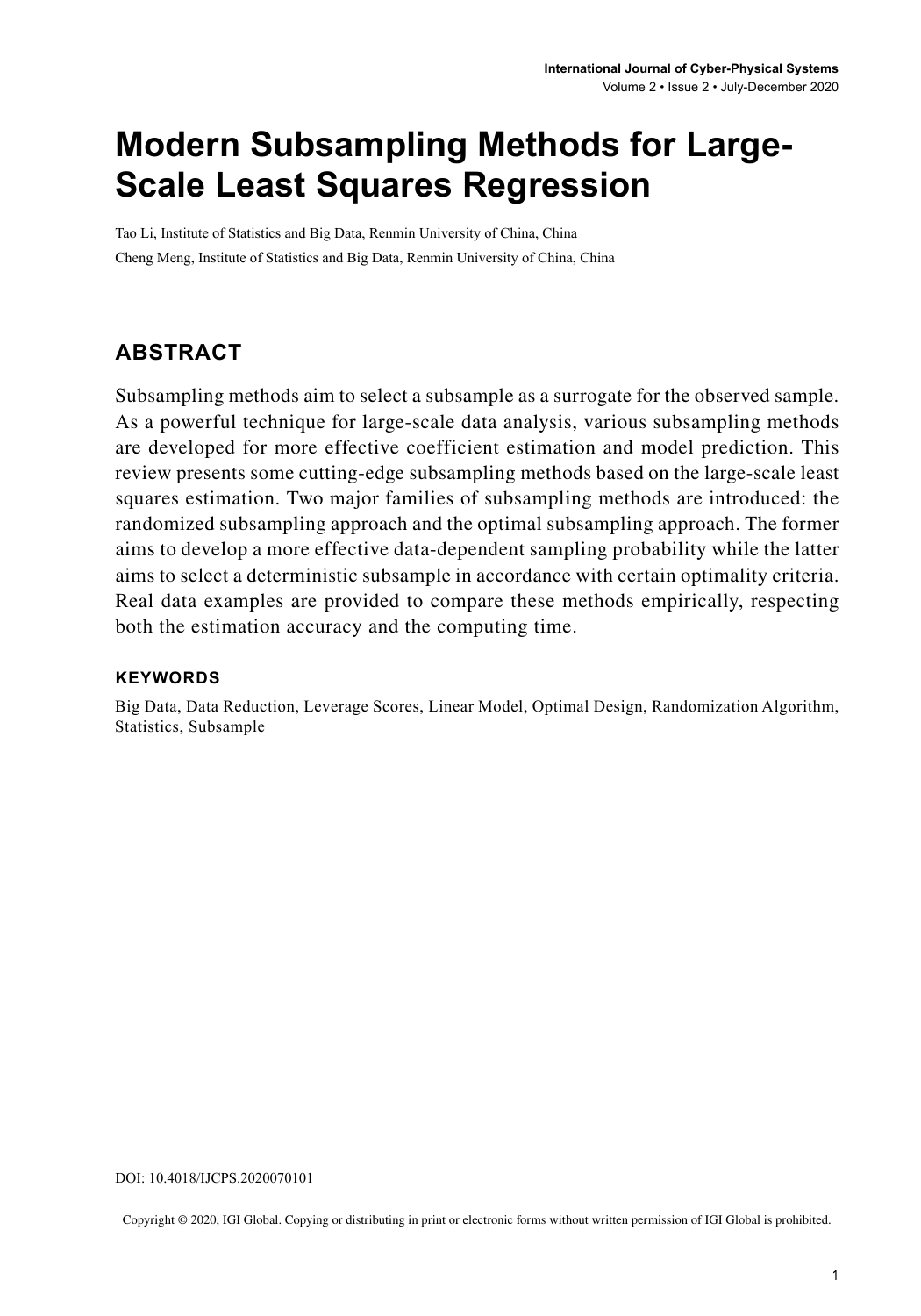# **Modern Subsampling Methods for Large-Scale Least Squares Regression**

Tao Li, Institute of Statistics and Big Data, Renmin University of China, China Cheng Meng, Institute of Statistics and Big Data, Renmin University of China, China

## **ABSTRACT**

Subsampling methods aim to select a subsample as a surrogate for the observed sample. As a powerful technique for large-scale data analysis, various subsampling methods are developed for more effective coefficient estimation and model prediction. This review presents some cutting-edge subsampling methods based on the large-scale least squares estimation. Two major families of subsampling methods are introduced: the randomized subsampling approach and the optimal subsampling approach. The former aims to develop a more effective data-dependent sampling probability while the latter aims to select a deterministic subsample in accordance with certain optimality criteria. Real data examples are provided to compare these methods empirically, respecting both the estimation accuracy and the computing time.

#### **Keywords**

Big Data, Data Reduction, Leverage Scores, Linear Model, Optimal Design, Randomization Algorithm, Statistics, Subsample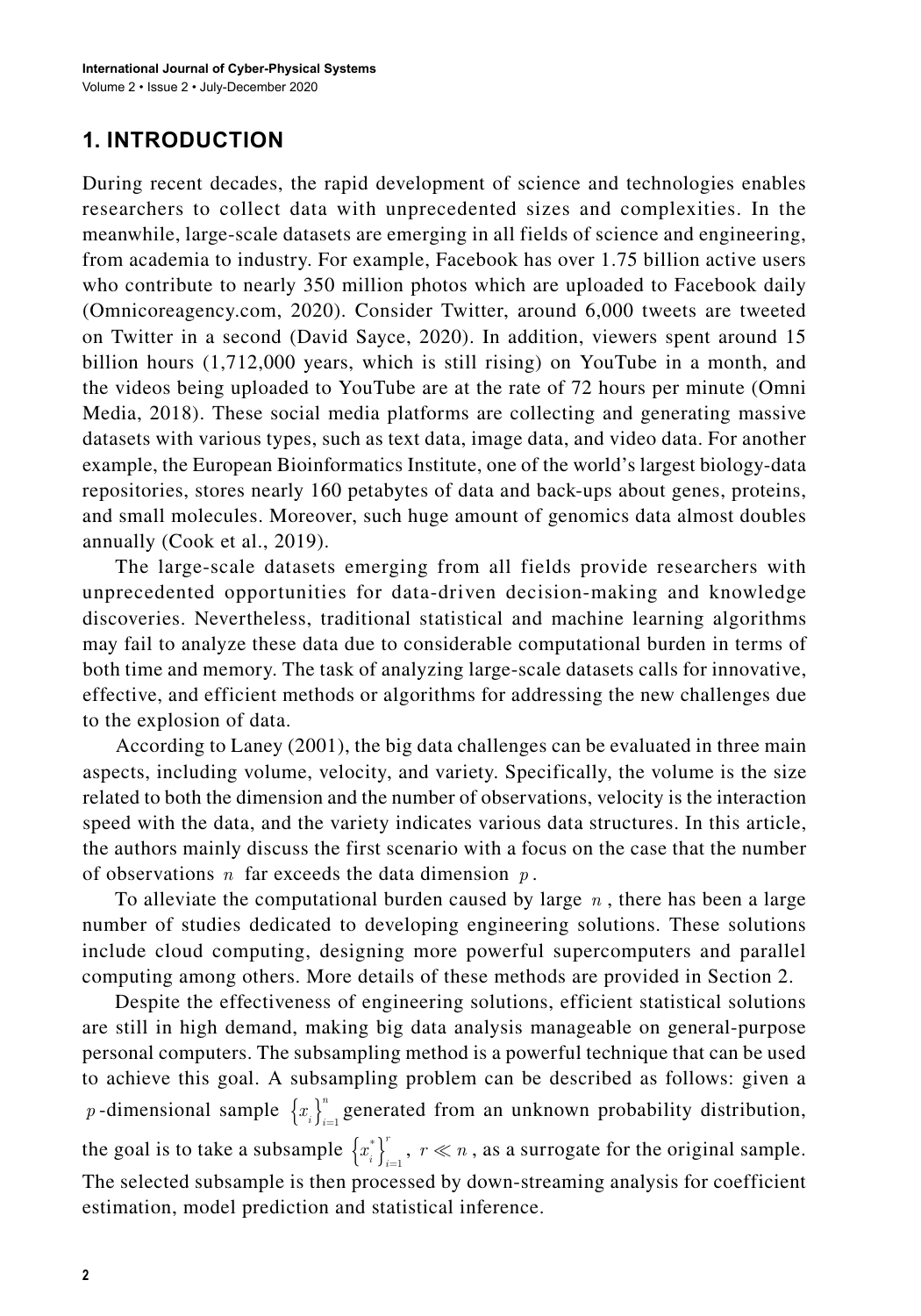## **1. INTRODUCTION**

During recent decades, the rapid development of science and technologies enables researchers to collect data with unprecedented sizes and complexities. In the meanwhile, large-scale datasets are emerging in all fields of science and engineering, from academia to industry. For example, Facebook has over 1.75 billion active users who contribute to nearly 350 million photos which are uploaded to Facebook daily (Omnicoreagency.com, 2020). Consider Twitter, around 6,000 tweets are tweeted on Twitter in a second (David Sayce, 2020). In addition, viewers spent around 15 billion hours (1,712,000 years, which is still rising) on YouTube in a month, and the videos being uploaded to YouTube are at the rate of 72 hours per minute (Omni Media, 2018). These social media platforms are collecting and generating massive datasets with various types, such as text data, image data, and video data. For another example, the European Bioinformatics Institute, one of the world's largest biology-data repositories, stores nearly 160 petabytes of data and back-ups about genes, proteins, and small molecules. Moreover, such huge amount of genomics data almost doubles annually (Cook et al., 2019).

The large-scale datasets emerging from all fields provide researchers with unprecedented opportunities for data-driven decision-making and knowledge discoveries. Nevertheless, traditional statistical and machine learning algorithms may fail to analyze these data due to considerable computational burden in terms of both time and memory. The task of analyzing large-scale datasets calls for innovative, effective, and efficient methods or algorithms for addressing the new challenges due to the explosion of data.

According to Laney (2001), the big data challenges can be evaluated in three main aspects, including volume, velocity, and variety. Specifically, the volume is the size related to both the dimension and the number of observations, velocity is the interaction speed with the data, and the variety indicates various data structures. In this article, the authors mainly discuss the first scenario with a focus on the case that the number of observations *n* far exceeds the data dimension *p* .

To alleviate the computational burden caused by large *n* , there has been a large number of studies dedicated to developing engineering solutions. These solutions include cloud computing, designing more powerful supercomputers and parallel computing among others. More details of these methods are provided in Section 2.

Despite the effectiveness of engineering solutions, efficient statistical solutions are still in high demand, making big data analysis manageable on general-purpose personal computers. The subsampling method is a powerful technique that can be used to achieve this goal. A subsampling problem can be described as follows: given a *p*-dimensional sample  $\{x_i\}_{i=1}^n$  generated from an unknown probability distribution, the goal is to take a subsample  $\{x_i^*\}_{i=1}^r$ ,  $r \ll n$ , as a surrogate for the original sample. The selected subsample is then processed by down-streaming analysis for coefficient estimation, model prediction and statistical inference.